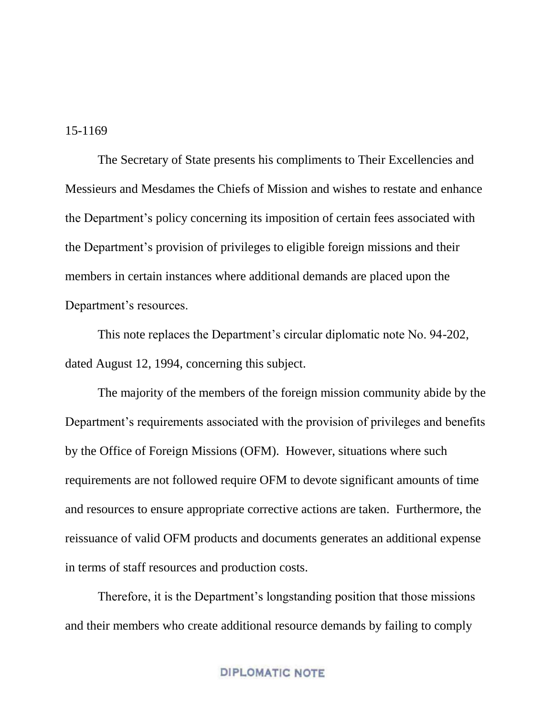15-1169

The Secretary of State presents his compliments to Their Excellencies and Messieurs and Mesdames the Chiefs of Mission and wishes to restate and enhance the Department's policy concerning its imposition of certain fees associated with the Department's provision of privileges to eligible foreign missions and their members in certain instances where additional demands are placed upon the Department's resources.

This note replaces the Department's circular diplomatic note No. 94-202, dated August 12, 1994, concerning this subject.

The majority of the members of the foreign mission community abide by the Department's requirements associated with the provision of privileges and benefits by the Office of Foreign Missions (OFM). However, situations where such requirements are not followed require OFM to devote significant amounts of time and resources to ensure appropriate corrective actions are taken. Furthermore, the reissuance of valid OFM products and documents generates an additional expense in terms of staff resources and production costs.

Therefore, it is the Department's longstanding position that those missions and their members who create additional resource demands by failing to comply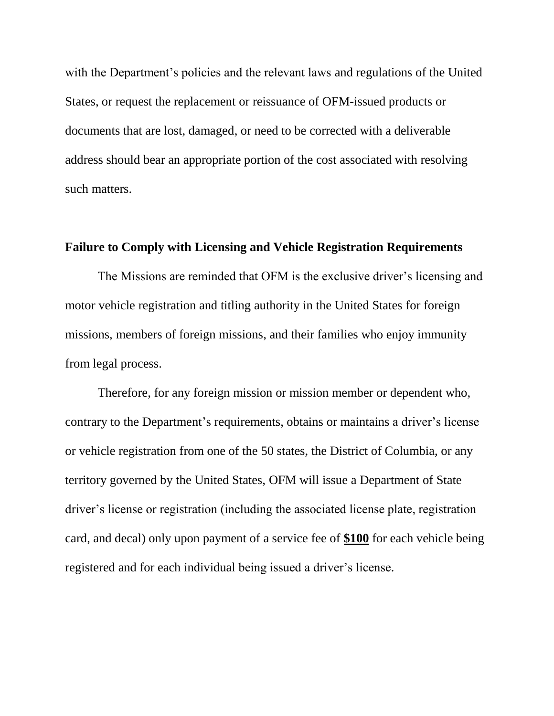with the Department's policies and the relevant laws and regulations of the United States, or request the replacement or reissuance of OFM-issued products or documents that are lost, damaged, or need to be corrected with a deliverable address should bear an appropriate portion of the cost associated with resolving such matters.

## **Failure to Comply with Licensing and Vehicle Registration Requirements**

The Missions are reminded that OFM is the exclusive driver's licensing and motor vehicle registration and titling authority in the United States for foreign missions, members of foreign missions, and their families who enjoy immunity from legal process.

Therefore, for any foreign mission or mission member or dependent who, contrary to the Department's requirements, obtains or maintains a driver's license or vehicle registration from one of the 50 states, the District of Columbia, or any territory governed by the United States, OFM will issue a Department of State driver's license or registration (including the associated license plate, registration card, and decal) only upon payment of a service fee of **\$100** for each vehicle being registered and for each individual being issued a driver's license.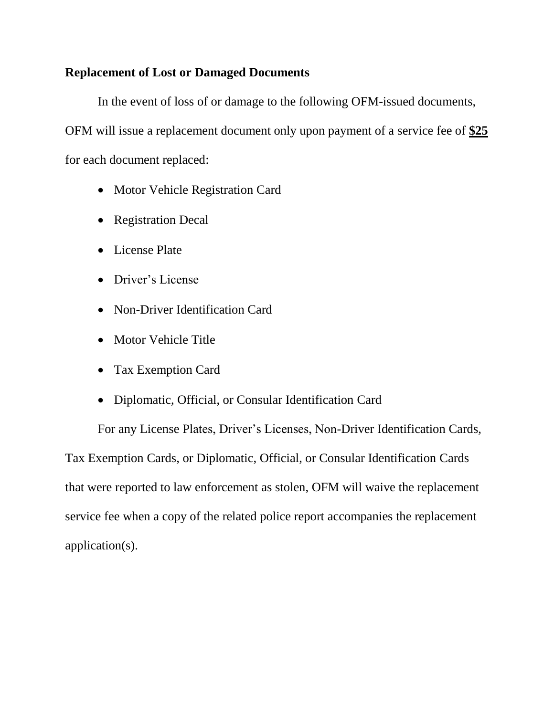# **Replacement of Lost or Damaged Documents**

In the event of loss of or damage to the following OFM-issued documents, OFM will issue a replacement document only upon payment of a service fee of **\$25** for each document replaced:

- Motor Vehicle Registration Card
- Registration Decal
- License Plate
- Driver's License
- Non-Driver Identification Card
- Motor Vehicle Title
- Tax Exemption Card
- Diplomatic, Official, or Consular Identification Card

For any License Plates, Driver's Licenses, Non-Driver Identification Cards, Tax Exemption Cards, or Diplomatic, Official, or Consular Identification Cards that were reported to law enforcement as stolen, OFM will waive the replacement service fee when a copy of the related police report accompanies the replacement application(s).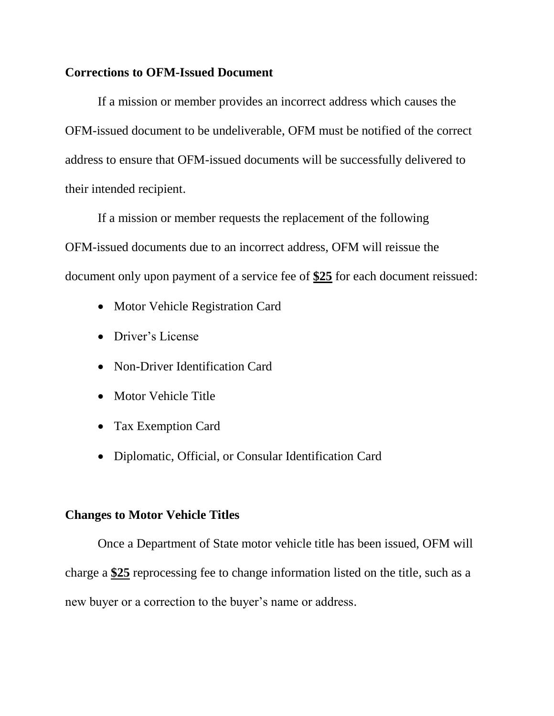### **Corrections to OFM-Issued Document**

If a mission or member provides an incorrect address which causes the OFM-issued document to be undeliverable, OFM must be notified of the correct address to ensure that OFM-issued documents will be successfully delivered to their intended recipient.

If a mission or member requests the replacement of the following OFM-issued documents due to an incorrect address, OFM will reissue the document only upon payment of a service fee of **\$25** for each document reissued:

- Motor Vehicle Registration Card
- Driver's License
- Non-Driver Identification Card
- Motor Vehicle Title
- Tax Exemption Card
- Diplomatic, Official, or Consular Identification Card

### **Changes to Motor Vehicle Titles**

Once a Department of State motor vehicle title has been issued, OFM will charge a **\$25** reprocessing fee to change information listed on the title, such as a new buyer or a correction to the buyer's name or address.